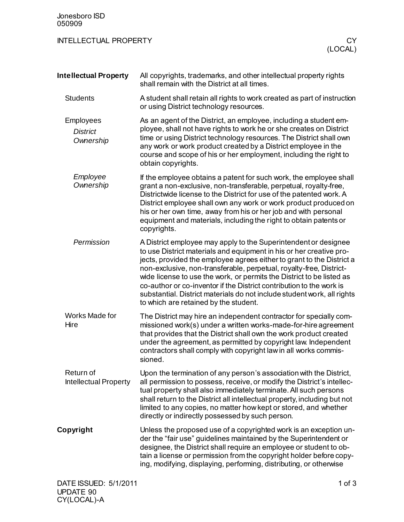| Jonesboro ISD<br>050909                          |                                                                                                                                                                                                                                                                                                                                                                                                                                                                                                                                                             |
|--------------------------------------------------|-------------------------------------------------------------------------------------------------------------------------------------------------------------------------------------------------------------------------------------------------------------------------------------------------------------------------------------------------------------------------------------------------------------------------------------------------------------------------------------------------------------------------------------------------------------|
| <b>INTELLECTUAL PROPERTY</b>                     | СY<br>(LOCAL)                                                                                                                                                                                                                                                                                                                                                                                                                                                                                                                                               |
| <b>Intellectual Property</b>                     | All copyrights, trademarks, and other intellectual property rights<br>shall remain with the District at all times.                                                                                                                                                                                                                                                                                                                                                                                                                                          |
| <b>Students</b>                                  | A student shall retain all rights to work created as part of instruction<br>or using District technology resources.                                                                                                                                                                                                                                                                                                                                                                                                                                         |
| <b>Employees</b><br><b>District</b><br>Ownership | As an agent of the District, an employee, including a student em-<br>ployee, shall not have rights to work he or she creates on District<br>time or using District technology resources. The District shall own<br>any work or work product created by a District employee in the<br>course and scope of his or her employment, including the right to<br>obtain copyrights.                                                                                                                                                                                |
| Employee<br>Ownership                            | If the employee obtains a patent for such work, the employee shall<br>grant a non-exclusive, non-transferable, perpetual, royalty-free,<br>Districtwide license to the District for use of the patented work. A<br>District employee shall own any work or work product produced on<br>his or her own time, away from his or her job and with personal<br>equipment and materials, including the right to obtain patents or<br>copyrights.                                                                                                                  |
| Permission                                       | A District employee may apply to the Superintendent or designee<br>to use District materials and equipment in his or her creative pro-<br>jects, provided the employee agrees either to grant to the District a<br>non-exclusive, non-transferable, perpetual, royalty-free, District-<br>wide license to use the work, or permits the District to be listed as<br>co-author or co-inventor if the District contribution to the work is<br>substantial. District materials do not include student work, all rights<br>to which are retained by the student. |
| Works Made for<br>Hire                           | The District may hire an independent contractor for specially com-<br>missioned work(s) under a written works-made-for-hire agreement<br>that provides that the District shall own the work product created<br>under the agreement, as permitted by copyright law. Independent<br>contractors shall comply with copyright law in all works commis-<br>sioned.                                                                                                                                                                                               |
| Return of<br><b>Intellectual Property</b>        | Upon the termination of any person's association with the District,<br>all permission to possess, receive, or modify the District's intellec-<br>tual property shall also immediately terminate. All such persons<br>shall return to the District all intellectual property, including but not<br>limited to any copies, no matter how kept or stored, and whether<br>directly or indirectly possessed by such person.                                                                                                                                      |
| Copyright                                        | Unless the proposed use of a copyrighted work is an exception un-<br>der the "fair use" guidelines maintained by the Superintendent or<br>designee, the District shall require an employee or student to ob-<br>tain a license or permission from the copyright holder before copy-<br>ing, modifying, displaying, performing, distributing, or otherwise                                                                                                                                                                                                   |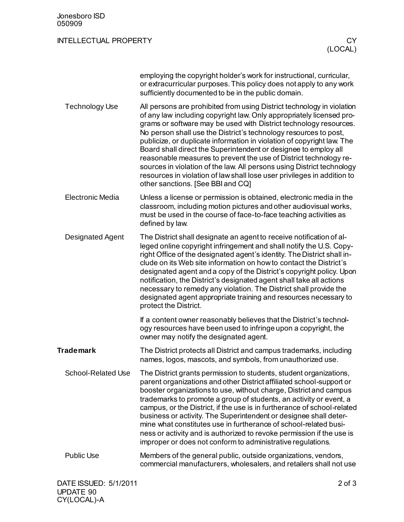| Jonesboro ISD<br>050909      |                                                                                                                                                                                                                                                                                                                                                                                                                                                                                                                                                                                                                                                                                                     |
|------------------------------|-----------------------------------------------------------------------------------------------------------------------------------------------------------------------------------------------------------------------------------------------------------------------------------------------------------------------------------------------------------------------------------------------------------------------------------------------------------------------------------------------------------------------------------------------------------------------------------------------------------------------------------------------------------------------------------------------------|
| <b>INTELLECTUAL PROPERTY</b> | CY<br>(LOCAL)                                                                                                                                                                                                                                                                                                                                                                                                                                                                                                                                                                                                                                                                                       |
|                              | employing the copyright holder's work for instructional, curricular,<br>or extracurricular purposes. This policy does not apply to any work<br>sufficiently documented to be in the public domain.                                                                                                                                                                                                                                                                                                                                                                                                                                                                                                  |
| <b>Technology Use</b>        | All persons are prohibited from using District technology in violation<br>of any law including copyright law. Only appropriately licensed pro-<br>grams or software may be used with District technology resources.<br>No person shall use the District's technology resources to post,<br>publicize, or duplicate information in violation of copyright law. The<br>Board shall direct the Superintendent or designee to employ all<br>reasonable measures to prevent the use of District technology re-<br>sources in violation of the law. All persons using District technology<br>resources in violation of law shall lose user privileges in addition to<br>other sanctions. [See BBI and CQ] |
| <b>Electronic Media</b>      | Unless a license or permission is obtained, electronic media in the<br>classroom, including motion pictures and other audiovisual works,<br>must be used in the course of face-to-face teaching activities as<br>defined by law.                                                                                                                                                                                                                                                                                                                                                                                                                                                                    |
| <b>Designated Agent</b>      | The District shall designate an agent to receive notification of al-<br>leged online copyright infringement and shall notify the U.S. Copy-<br>right Office of the designated agent's identity. The District shall in-<br>clude on its Web site information on how to contact the District's<br>designated agent and a copy of the District's copyright policy. Upon<br>notification, the District's designated agent shall take all actions<br>necessary to remedy any violation. The District shall provide the<br>designated agent appropriate training and resources necessary to<br>protect the District.                                                                                      |
|                              | If a content owner reasonably believes that the District's technol-<br>ogy resources have been used to infringe upon a copyright, the<br>owner may notify the designated agent.                                                                                                                                                                                                                                                                                                                                                                                                                                                                                                                     |
| <b>Trademark</b>             | The District protects all District and campus trademarks, including<br>names, logos, mascots, and symbols, from unauthorized use.                                                                                                                                                                                                                                                                                                                                                                                                                                                                                                                                                                   |
| <b>School-Related Use</b>    | The District grants permission to students, student organizations,<br>parent organizations and other District affiliated school-support or<br>booster organizations to use, without charge, District and campus<br>trademarks to promote a group of students, an activity or event, a<br>campus, or the District, if the use is in furtherance of school-related<br>business or activity. The Superintendent or designee shall deter-<br>mine what constitutes use in furtherance of school-related busi-<br>ness or activity and is authorized to revoke permission if the use is<br>improper or does not conform to administrative regulations.                                                   |
| <b>Public Use</b>            | Members of the general public, outside organizations, vendors,<br>commercial manufacturers, wholesalers, and retailers shall not use                                                                                                                                                                                                                                                                                                                                                                                                                                                                                                                                                                |